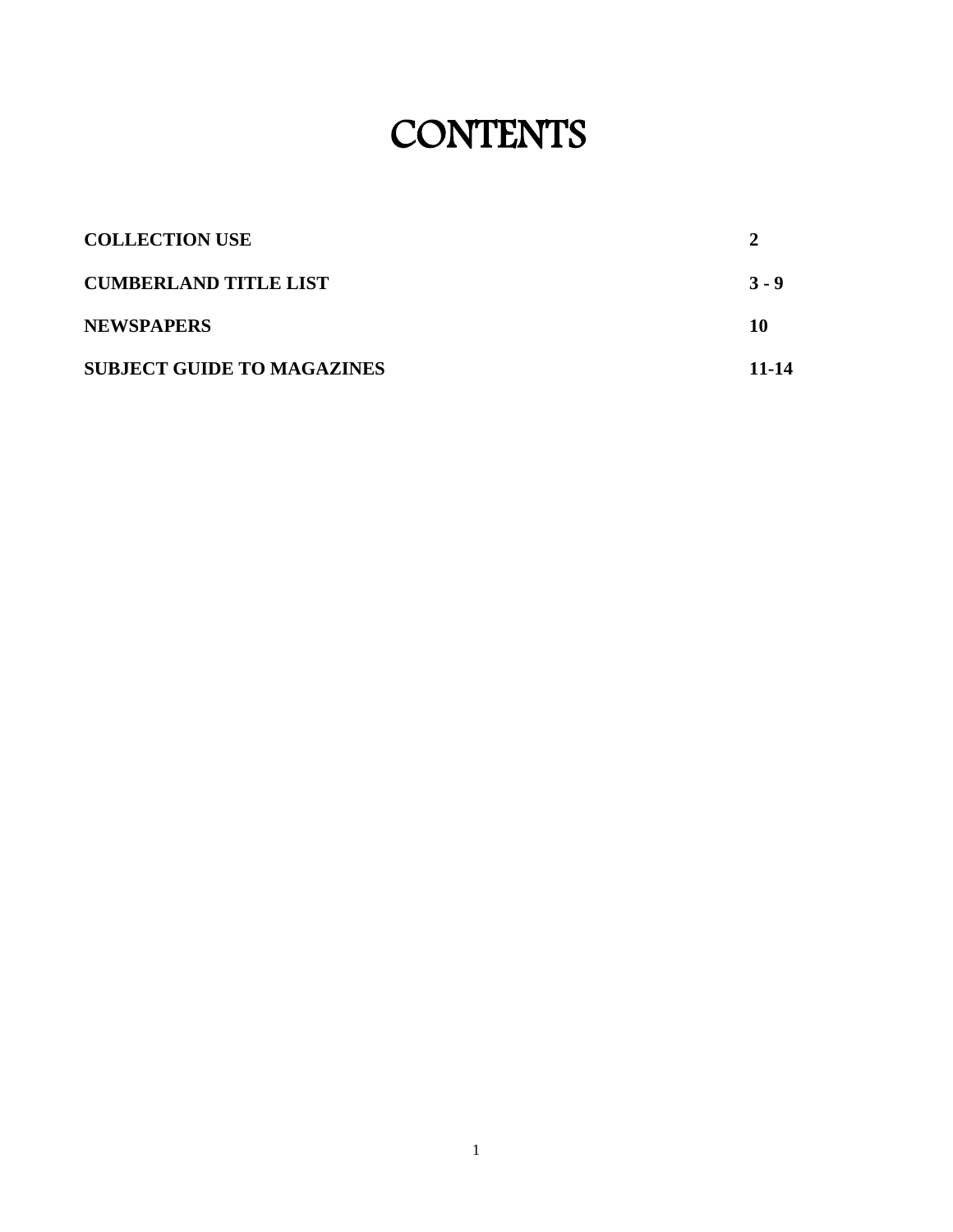# **CONTENTS**

| <b>COLLECTION USE</b>             |         |
|-----------------------------------|---------|
| <b>CUMBERLAND TITLE LIST</b>      | $3 - 9$ |
| <b>NEWSPAPERS</b>                 | 10      |
| <b>SUBJECT GUIDE TO MAGAZINES</b> | 11-14   |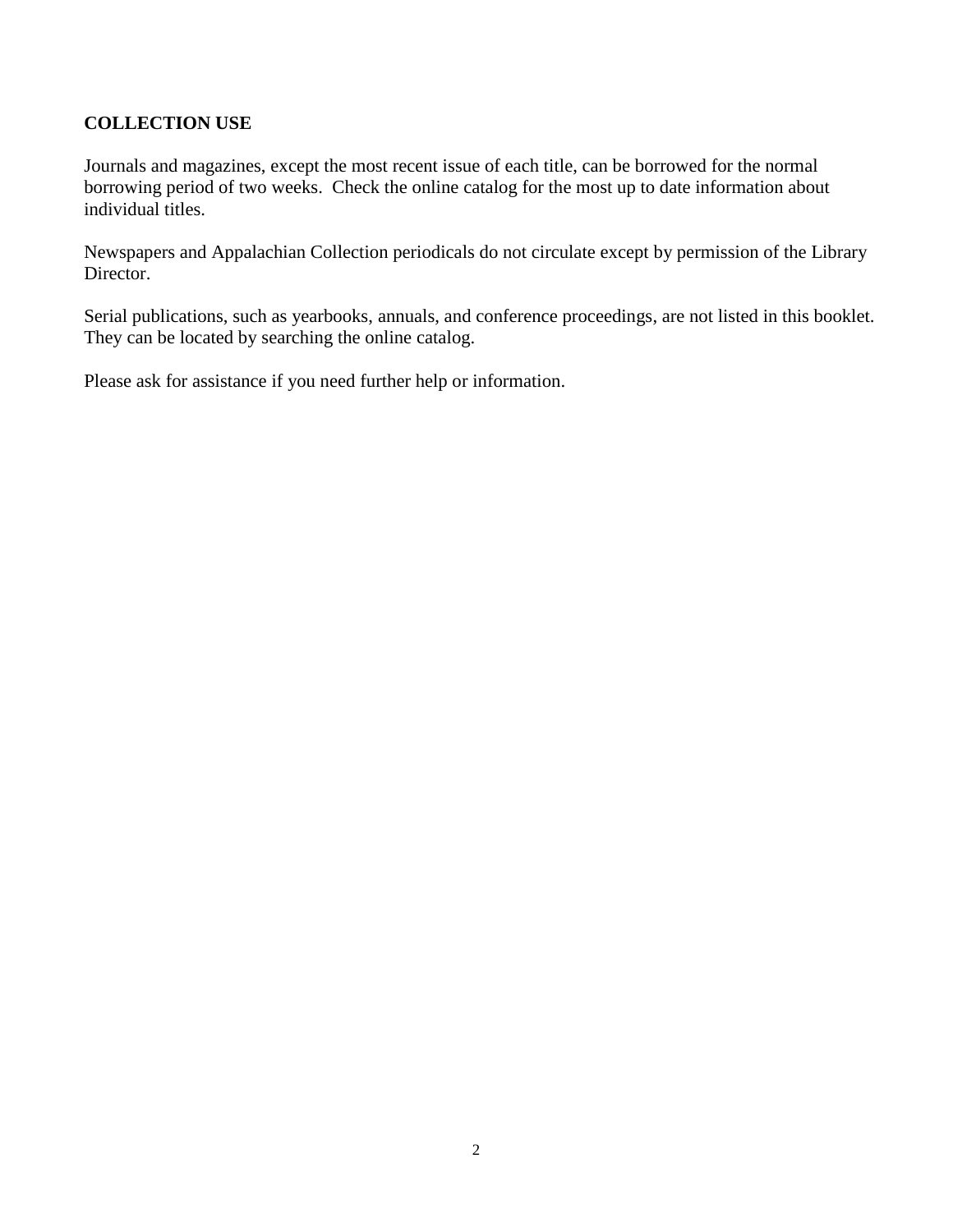# **COLLECTION USE**

Journals and magazines, except the most recent issue of each title, can be borrowed for the normal borrowing period of two weeks. Check the online catalog for the most up to date information about individual titles.

Newspapers and Appalachian Collection periodicals do not circulate except by permission of the Library Director.

Serial publications, such as yearbooks, annuals, and conference proceedings, are not listed in this booklet. They can be located by searching the online catalog.

Please ask for assistance if you need further help or information.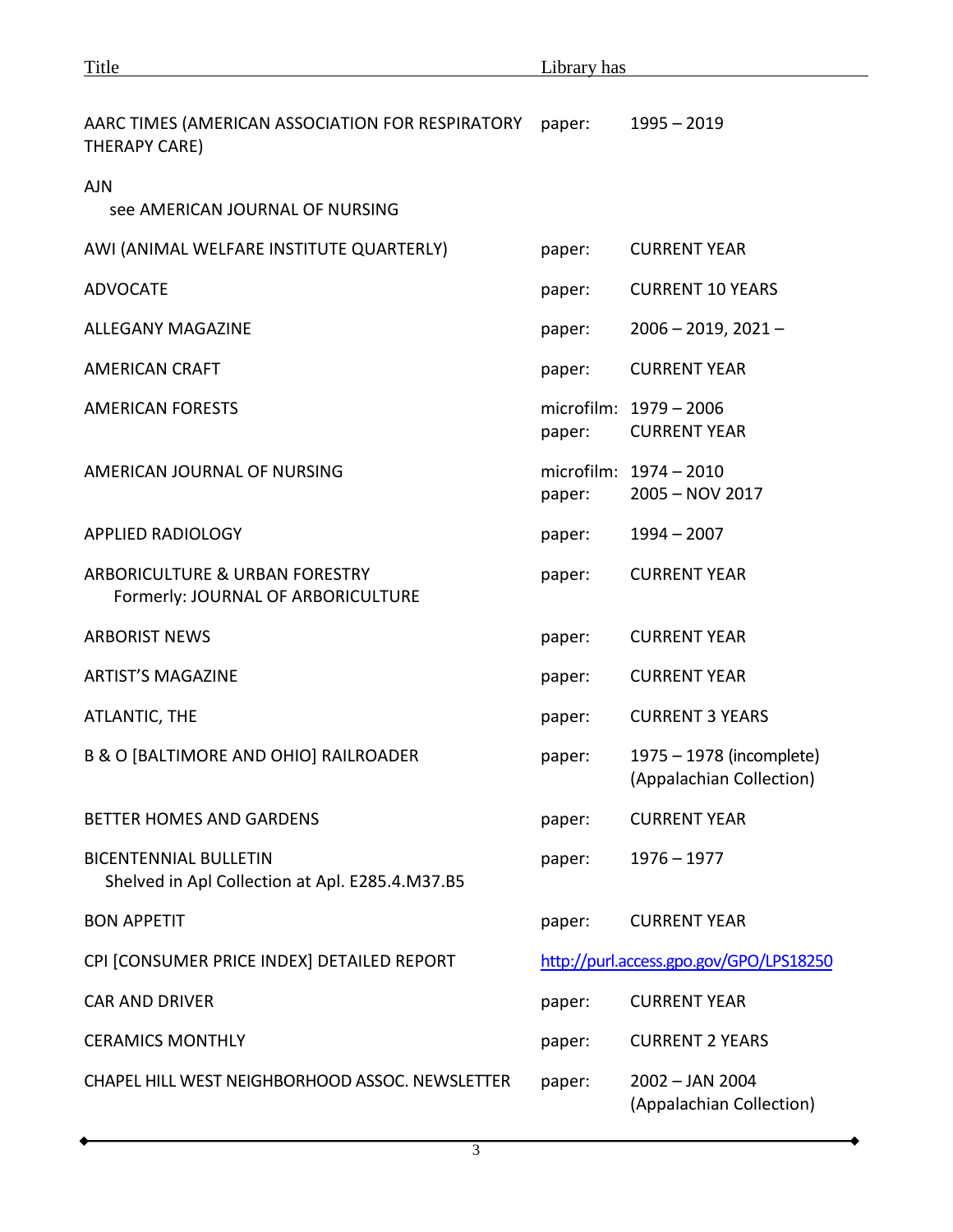| Title                                                                           | Library has |                                                      |  |  |
|---------------------------------------------------------------------------------|-------------|------------------------------------------------------|--|--|
| AARC TIMES (AMERICAN ASSOCIATION FOR RESPIRATORY<br>THERAPY CARE)               | paper:      | $1995 - 2019$                                        |  |  |
| <b>AJN</b><br>see AMERICAN JOURNAL OF NURSING                                   |             |                                                      |  |  |
| AWI (ANIMAL WELFARE INSTITUTE QUARTERLY)                                        | paper:      | <b>CURRENT YEAR</b>                                  |  |  |
| <b>ADVOCATE</b>                                                                 | paper:      | <b>CURRENT 10 YEARS</b>                              |  |  |
| <b>ALLEGANY MAGAZINE</b>                                                        | paper:      | $2006 - 2019, 2021 -$                                |  |  |
| <b>AMERICAN CRAFT</b>                                                           | paper:      | <b>CURRENT YEAR</b>                                  |  |  |
| <b>AMERICAN FORESTS</b>                                                         | paper:      | microfilm: 1979 - 2006<br><b>CURRENT YEAR</b>        |  |  |
| AMERICAN JOURNAL OF NURSING                                                     | paper:      | microfilm: 1974 - 2010<br>2005 - NOV 2017            |  |  |
| <b>APPLIED RADIOLOGY</b>                                                        | paper:      | $1994 - 2007$                                        |  |  |
| ARBORICULTURE & URBAN FORESTRY<br>Formerly: JOURNAL OF ARBORICULTURE            | paper:      | <b>CURRENT YEAR</b>                                  |  |  |
| <b>ARBORIST NEWS</b>                                                            | paper:      | <b>CURRENT YEAR</b>                                  |  |  |
| <b>ARTIST'S MAGAZINE</b>                                                        | paper:      | <b>CURRENT YEAR</b>                                  |  |  |
| ATLANTIC, THE                                                                   | paper:      | <b>CURRENT 3 YEARS</b>                               |  |  |
| <b>B &amp; O [BALTIMORE AND OHIO] RAILROADER</b>                                | paper:      | 1975 - 1978 (incomplete)<br>(Appalachian Collection) |  |  |
| <b>BETTER HOMES AND GARDENS</b>                                                 | paper:      | <b>CURRENT YEAR</b>                                  |  |  |
| <b>BICENTENNIAL BULLETIN</b><br>Shelved in Apl Collection at Apl. E285.4.M37.B5 | paper:      | $1976 - 1977$                                        |  |  |
| <b>BON APPETIT</b>                                                              | paper:      | <b>CURRENT YEAR</b>                                  |  |  |
| CPI [CONSUMER PRICE INDEX] DETAILED REPORT                                      |             | http://purl.access.gpo.gov/GPO/LPS18250              |  |  |
| <b>CAR AND DRIVER</b>                                                           | paper:      | <b>CURRENT YEAR</b>                                  |  |  |
| <b>CERAMICS MONTHLY</b>                                                         | paper:      | <b>CURRENT 2 YEARS</b>                               |  |  |
| CHAPEL HILL WEST NEIGHBORHOOD ASSOC. NEWSLETTER                                 | paper:      | 2002 - JAN 2004<br>(Appalachian Collection)          |  |  |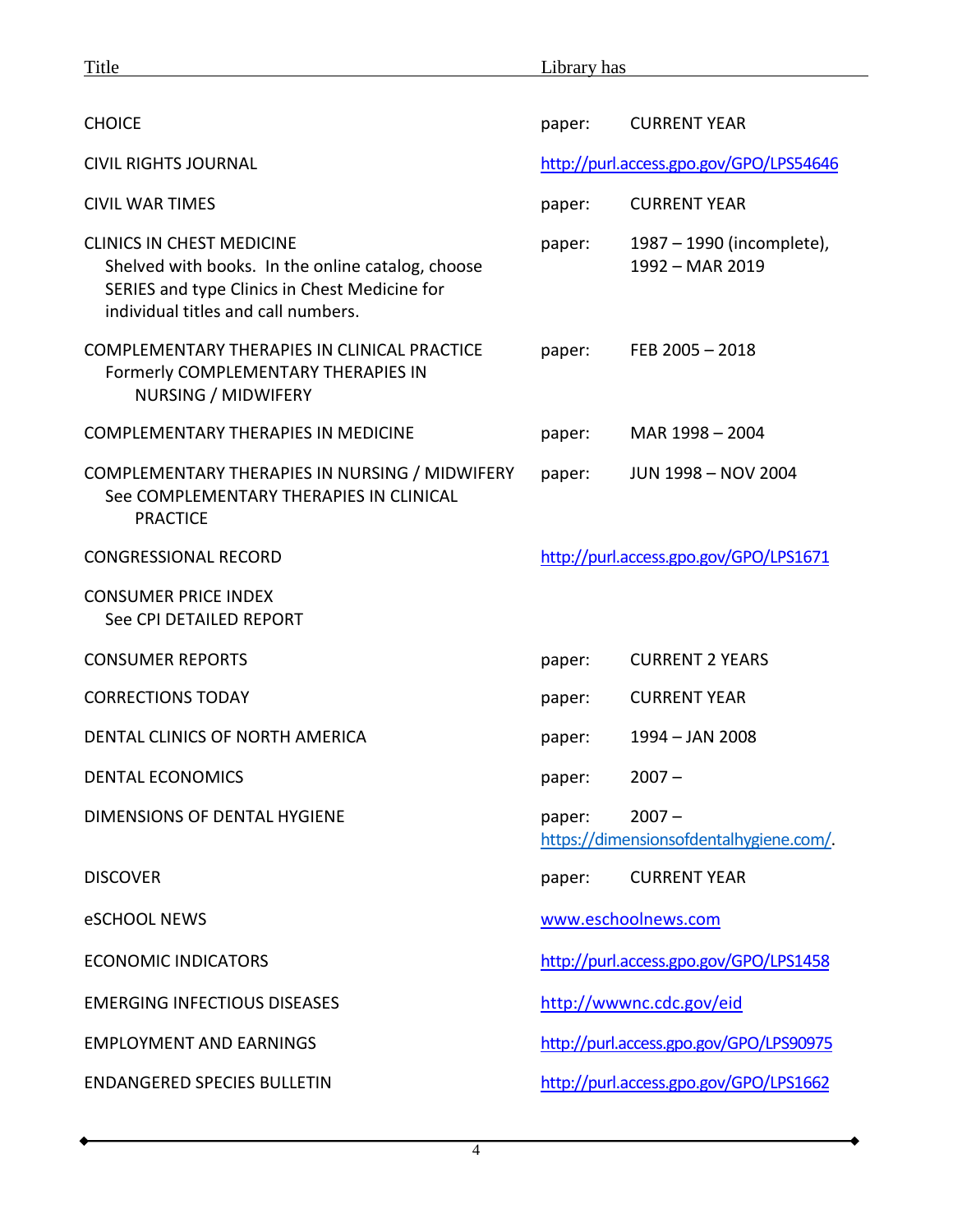| Title                                                                                                                                                                         | Library has                                                   |                                              |  |
|-------------------------------------------------------------------------------------------------------------------------------------------------------------------------------|---------------------------------------------------------------|----------------------------------------------|--|
|                                                                                                                                                                               |                                                               |                                              |  |
| <b>CHOICE</b>                                                                                                                                                                 | paper:                                                        | <b>CURRENT YEAR</b>                          |  |
| <b>CIVIL RIGHTS JOURNAL</b>                                                                                                                                                   | http://purl.access.gpo.gov/GPO/LPS54646                       |                                              |  |
| <b>CIVIL WAR TIMES</b>                                                                                                                                                        | paper:                                                        | <b>CURRENT YEAR</b>                          |  |
| <b>CLINICS IN CHEST MEDICINE</b><br>Shelved with books. In the online catalog, choose<br>SERIES and type Clinics in Chest Medicine for<br>individual titles and call numbers. | paper:                                                        | 1987 – 1990 (incomplete),<br>1992 - MAR 2019 |  |
| COMPLEMENTARY THERAPIES IN CLINICAL PRACTICE<br>Formerly COMPLEMENTARY THERAPIES IN<br>NURSING / MIDWIFERY                                                                    | paper:                                                        | FEB 2005 $-$ 2018                            |  |
| <b>COMPLEMENTARY THERAPIES IN MEDICINE</b>                                                                                                                                    | paper:                                                        | MAR 1998 - 2004                              |  |
| COMPLEMENTARY THERAPIES IN NURSING / MIDWIFERY<br>See COMPLEMENTARY THERAPIES IN CLINICAL<br><b>PRACTICE</b>                                                                  | paper:                                                        | JUN 1998 - NOV 2004                          |  |
| <b>CONGRESSIONAL RECORD</b>                                                                                                                                                   | http://purl.access.gpo.gov/GPO/LPS1671                        |                                              |  |
| <b>CONSUMER PRICE INDEX</b><br>See CPI DETAILED REPORT                                                                                                                        |                                                               |                                              |  |
| <b>CONSUMER REPORTS</b>                                                                                                                                                       | paper:                                                        | <b>CURRENT 2 YEARS</b>                       |  |
| <b>CORRECTIONS TODAY</b>                                                                                                                                                      | paper:                                                        | <b>CURRENT YEAR</b>                          |  |
| DENTAL CLINICS OF NORTH AMERICA                                                                                                                                               | paper:                                                        | 1994 - JAN 2008                              |  |
| <b>DENTAL ECONOMICS</b>                                                                                                                                                       | paper:                                                        | $2007 -$                                     |  |
| DIMENSIONS OF DENTAL HYGIENE                                                                                                                                                  | $2007 -$<br>paper:<br>https://dimensionsofdentalhygiene.com/. |                                              |  |
| <b>DISCOVER</b>                                                                                                                                                               | paper:                                                        | <b>CURRENT YEAR</b>                          |  |
| eSCHOOL NEWS                                                                                                                                                                  | www.eschoolnews.com                                           |                                              |  |
| <b>ECONOMIC INDICATORS</b>                                                                                                                                                    | http://purl.access.gpo.gov/GPO/LPS1458                        |                                              |  |
| <b>EMERGING INFECTIOUS DISEASES</b>                                                                                                                                           | http://wwwnc.cdc.gov/eid                                      |                                              |  |
| <b>EMPLOYMENT AND EARNINGS</b>                                                                                                                                                | http://purl.access.gpo.gov/GPO/LPS90975                       |                                              |  |
| <b>ENDANGERED SPECIES BULLETIN</b>                                                                                                                                            | http://purl.access.gpo.gov/GPO/LPS1662                        |                                              |  |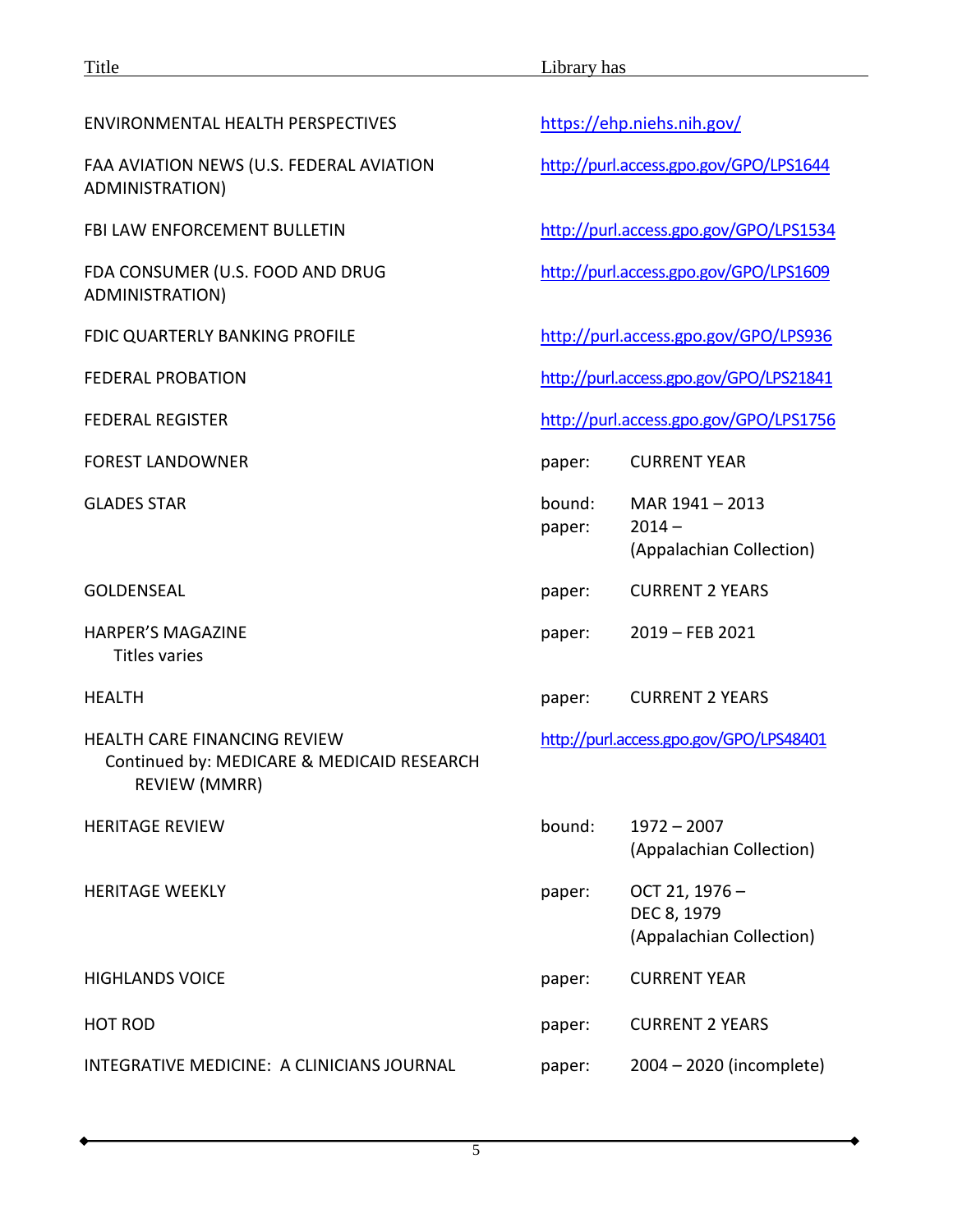| <b>ENVIRONMENTAL HEALTH PERSPECTIVES</b>                                                                  |                                         | https://ehp.niehs.nih.gov/                               |
|-----------------------------------------------------------------------------------------------------------|-----------------------------------------|----------------------------------------------------------|
| FAA AVIATION NEWS (U.S. FEDERAL AVIATION<br>ADMINISTRATION)                                               |                                         | http://purl.access.gpo.gov/GPO/LPS1644                   |
| <b>FBI LAW ENFORCEMENT BULLETIN</b>                                                                       |                                         | http://purl.access.gpo.gov/GPO/LPS1534                   |
| FDA CONSUMER (U.S. FOOD AND DRUG<br>ADMINISTRATION)                                                       |                                         | http://purl.access.gpo.gov/GPO/LPS1609                   |
| FDIC QUARTERLY BANKING PROFILE                                                                            |                                         | http://purl.access.gpo.gov/GPO/LPS936                    |
| <b>FEDERAL PROBATION</b>                                                                                  |                                         | http://purl.access.gpo.gov/GPO/LPS21841                  |
| <b>FEDERAL REGISTER</b>                                                                                   |                                         | http://purl.access.gpo.gov/GPO/LPS1756                   |
| <b>FOREST LANDOWNER</b>                                                                                   | paper:                                  | <b>CURRENT YEAR</b>                                      |
| <b>GLADES STAR</b>                                                                                        | bound:<br>paper:                        | MAR 1941-2013<br>$2014 -$<br>(Appalachian Collection)    |
| <b>GOLDENSEAL</b>                                                                                         | paper:                                  | <b>CURRENT 2 YEARS</b>                                   |
| <b>HARPER'S MAGAZINE</b><br><b>Titles varies</b>                                                          | paper:                                  | 2019 - FEB 2021                                          |
| <b>HEALTH</b>                                                                                             | paper:                                  | <b>CURRENT 2 YEARS</b>                                   |
| <b>HEALTH CARE FINANCING REVIEW</b><br>Continued by: MEDICARE & MEDICAID RESEARCH<br><b>REVIEW (MMRR)</b> | http://purl.access.gpo.gov/GPO/LPS48401 |                                                          |
| <b>HERITAGE REVIEW</b>                                                                                    | bound:                                  | $1972 - 2007$<br>(Appalachian Collection)                |
| <b>HERITAGE WEEKLY</b>                                                                                    | paper:                                  | OCT 21, 1976-<br>DEC 8, 1979<br>(Appalachian Collection) |
| <b>HIGHLANDS VOICE</b>                                                                                    | paper:                                  | <b>CURRENT YEAR</b>                                      |
| <b>HOT ROD</b>                                                                                            | paper:                                  | <b>CURRENT 2 YEARS</b>                                   |
| INTEGRATIVE MEDICINE: A CLINICIANS JOURNAL                                                                | paper:                                  | 2004 - 2020 (incomplete)                                 |

۰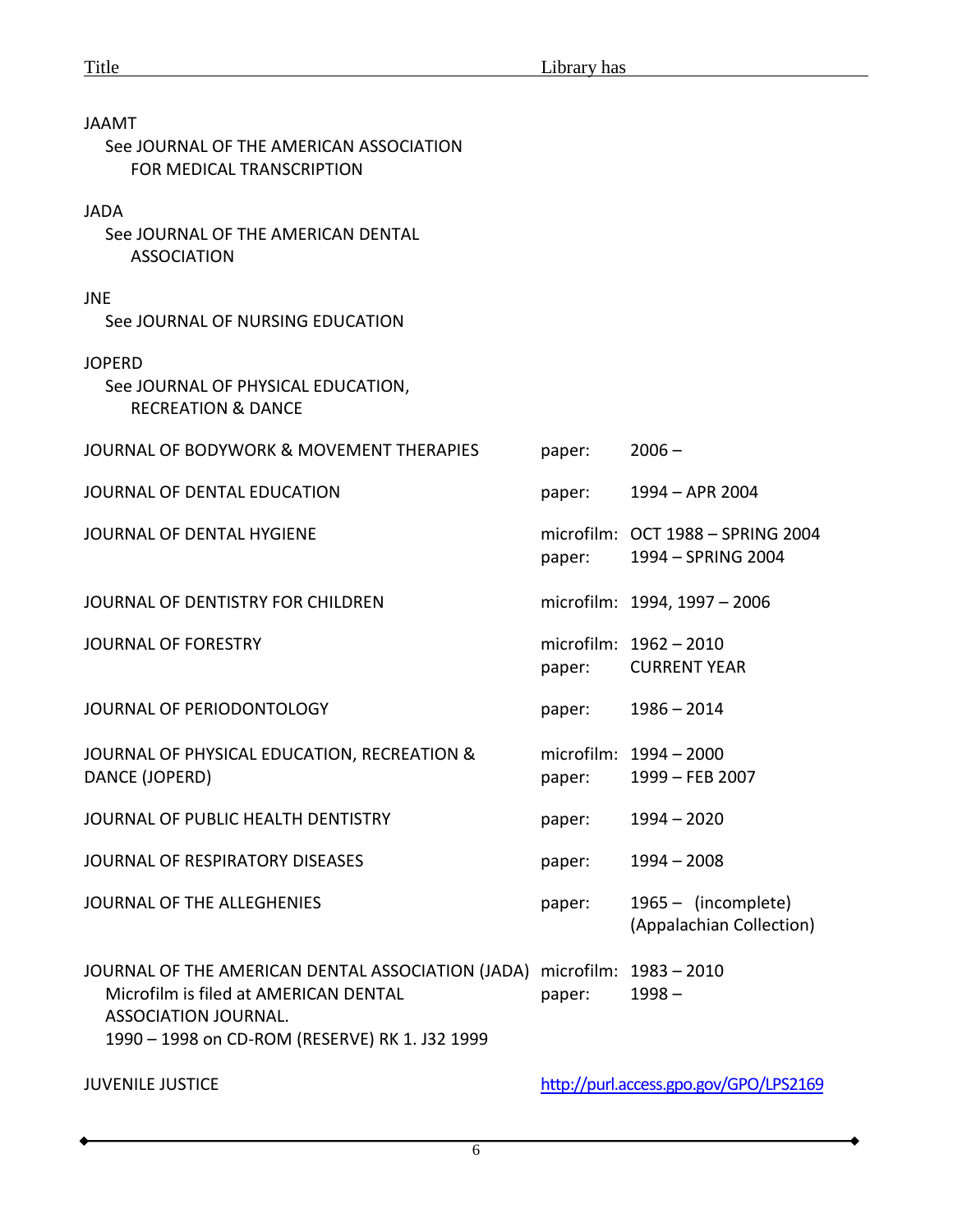| JAAMT                                                                                                                                                                                            |        |                                                         |
|--------------------------------------------------------------------------------------------------------------------------------------------------------------------------------------------------|--------|---------------------------------------------------------|
| See JOURNAL OF THE AMERICAN ASSOCIATION<br>FOR MEDICAL TRANSCRIPTION                                                                                                                             |        |                                                         |
| <b>JADA</b><br>See JOURNAL OF THE AMERICAN DENTAL<br><b>ASSOCIATION</b>                                                                                                                          |        |                                                         |
| <b>JNE</b><br>See JOURNAL OF NURSING EDUCATION                                                                                                                                                   |        |                                                         |
| <b>JOPERD</b><br>See JOURNAL OF PHYSICAL EDUCATION,<br><b>RECREATION &amp; DANCE</b>                                                                                                             |        |                                                         |
| JOURNAL OF BODYWORK & MOVEMENT THERAPIES                                                                                                                                                         | paper: | $2006 -$                                                |
| JOURNAL OF DENTAL EDUCATION                                                                                                                                                                      | paper: | 1994 - APR 2004                                         |
| JOURNAL OF DENTAL HYGIENE                                                                                                                                                                        | paper: | microfilm: OCT 1988 - SPRING 2004<br>1994 - SPRING 2004 |
| JOURNAL OF DENTISTRY FOR CHILDREN                                                                                                                                                                |        | microfilm: 1994, 1997 - 2006                            |
| <b>JOURNAL OF FORESTRY</b>                                                                                                                                                                       | paper: | microfilm: 1962 - 2010<br><b>CURRENT YEAR</b>           |
| JOURNAL OF PERIODONTOLOGY                                                                                                                                                                        | paper: | $1986 - 2014$                                           |
| JOURNAL OF PHYSICAL EDUCATION, RECREATION &<br>DANCE (JOPERD)                                                                                                                                    | paper: | microfilm: 1994 - 2000<br>1999 - FEB 2007               |
| JOURNAL OF PUBLIC HEALTH DENTISTRY                                                                                                                                                               | paper: | $1994 - 2020$                                           |
| JOURNAL OF RESPIRATORY DISEASES                                                                                                                                                                  | paper: | $1994 - 2008$                                           |
| JOURNAL OF THE ALLEGHENIES                                                                                                                                                                       | paper: | 1965 - (incomplete)<br>(Appalachian Collection)         |
| JOURNAL OF THE AMERICAN DENTAL ASSOCIATION (JADA) microfilm: 1983-2010<br>Microfilm is filed at AMERICAN DENTAL<br><b>ASSOCIATION JOURNAL.</b><br>1990 - 1998 on CD-ROM (RESERVE) RK 1. J32 1999 | paper: | $1998 -$                                                |

JUVENILE JUSTICE <http://purl.access.gpo.gov/GPO/LPS2169>

 $\ddot{\bullet}$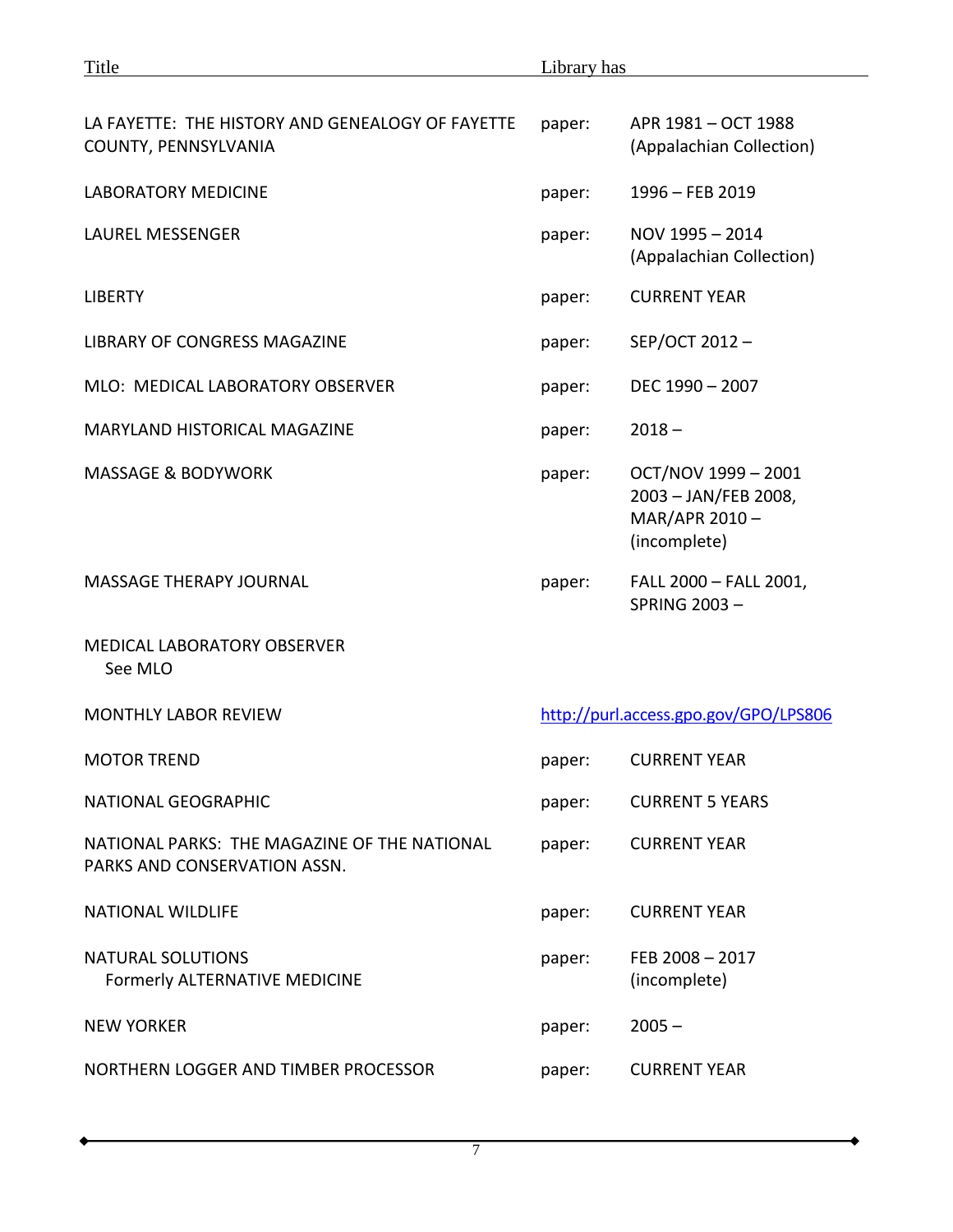| LA FAYETTE: THE HISTORY AND GENEALOGY OF FAYETTE<br>COUNTY, PENNSYLVANIA     | paper: | APR 1981 - OCT 1988<br>(Appalachian Collection)                              |
|------------------------------------------------------------------------------|--------|------------------------------------------------------------------------------|
| <b>LABORATORY MEDICINE</b>                                                   | paper: | 1996 - FEB 2019                                                              |
| <b>LAUREL MESSENGER</b>                                                      | paper: | NOV 1995 - 2014<br>(Appalachian Collection)                                  |
| <b>LIBERTY</b>                                                               | paper: | <b>CURRENT YEAR</b>                                                          |
| LIBRARY OF CONGRESS MAGAZINE                                                 | paper: | SEP/OCT 2012-                                                                |
| MLO: MEDICAL LABORATORY OBSERVER                                             | paper: | DEC 1990 - 2007                                                              |
| MARYLAND HISTORICAL MAGAZINE                                                 | paper: | $2018 -$                                                                     |
| <b>MASSAGE &amp; BODYWORK</b>                                                | paper: | OCT/NOV 1999 - 2001<br>2003 - JAN/FEB 2008,<br>MAR/APR 2010-<br>(incomplete) |
| <b>MASSAGE THERAPY JOURNAL</b>                                               | paper: | FALL 2000 - FALL 2001,<br><b>SPRING 2003-</b>                                |
| <b>MEDICAL LABORATORY OBSERVER</b><br>See MLO                                |        |                                                                              |
| <b>MONTHLY LABOR REVIEW</b>                                                  |        | http://purl.access.gpo.gov/GPO/LPS806                                        |
| <b>MOTOR TREND</b>                                                           | paper: | <b>CURRENT YEAR</b>                                                          |
| NATIONAL GEOGRAPHIC                                                          | paper: | <b>CURRENT 5 YEARS</b>                                                       |
| NATIONAL PARKS: THE MAGAZINE OF THE NATIONAL<br>PARKS AND CONSERVATION ASSN. | paper: | <b>CURRENT YEAR</b>                                                          |
| <b>NATIONAL WILDLIFE</b>                                                     | paper: | <b>CURRENT YEAR</b>                                                          |
| <b>NATURAL SOLUTIONS</b><br><b>Formerly ALTERNATIVE MEDICINE</b>             | paper: | FEB 2008-2017<br>(incomplete)                                                |
| <b>NEW YORKER</b>                                                            | paper: | $2005 -$                                                                     |
| NORTHERN LOGGER AND TIMBER PROCESSOR                                         | paper: | <b>CURRENT YEAR</b>                                                          |

 $\blacklozenge$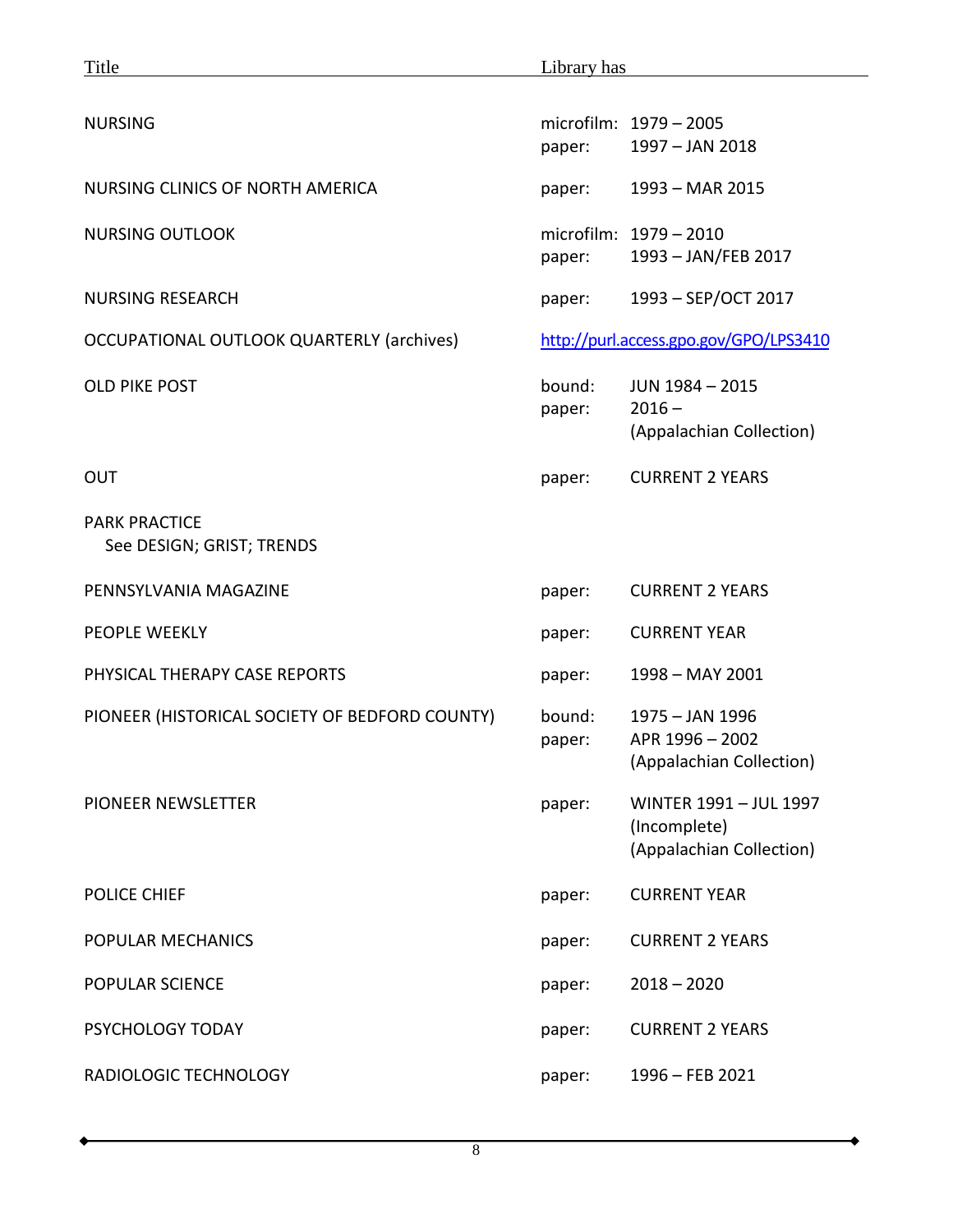| Title                                             | Library has                            |                                                                    |
|---------------------------------------------------|----------------------------------------|--------------------------------------------------------------------|
| <b>NURSING</b>                                    |                                        | microfilm: 1979 - 2005                                             |
|                                                   | paper:                                 | 1997 - JAN 2018                                                    |
| NURSING CLINICS OF NORTH AMERICA                  | paper:                                 | 1993 - MAR 2015                                                    |
| <b>NURSING OUTLOOK</b>                            | paper:                                 | microfilm: 1979 - 2010<br>1993 - JAN/FEB 2017                      |
| <b>NURSING RESEARCH</b>                           | paper:                                 | 1993 - SEP/OCT 2017                                                |
| OCCUPATIONAL OUTLOOK QUARTERLY (archives)         | http://purl.access.gpo.gov/GPO/LPS3410 |                                                                    |
| <b>OLD PIKE POST</b>                              | bound:<br>paper:                       | JUN 1984 - 2015<br>$2016 -$<br>(Appalachian Collection)            |
| <b>OUT</b>                                        | paper:                                 | <b>CURRENT 2 YEARS</b>                                             |
| <b>PARK PRACTICE</b><br>See DESIGN; GRIST; TRENDS |                                        |                                                                    |
| PENNSYLVANIA MAGAZINE                             | paper:                                 | <b>CURRENT 2 YEARS</b>                                             |
| <b>PEOPLE WEEKLY</b>                              | paper:                                 | <b>CURRENT YEAR</b>                                                |
| PHYSICAL THERAPY CASE REPORTS                     | paper:                                 | 1998 - MAY 2001                                                    |
| PIONEER (HISTORICAL SOCIETY OF BEDFORD COUNTY)    | bound:<br>paper:                       | 1975 - JAN 1996<br>APR 1996 - 2002<br>(Appalachian Collection)     |
| PIONEER NEWSLETTER                                | paper:                                 | WINTER 1991 - JUL 1997<br>(Incomplete)<br>(Appalachian Collection) |
| <b>POLICE CHIEF</b>                               | paper:                                 | <b>CURRENT YEAR</b>                                                |
| POPULAR MECHANICS                                 | paper:                                 | <b>CURRENT 2 YEARS</b>                                             |
| <b>POPULAR SCIENCE</b>                            | paper:                                 | $2018 - 2020$                                                      |
| PSYCHOLOGY TODAY                                  | paper:                                 | <b>CURRENT 2 YEARS</b>                                             |
| RADIOLOGIC TECHNOLOGY                             | paper:                                 | $1996 - FEB 2021$                                                  |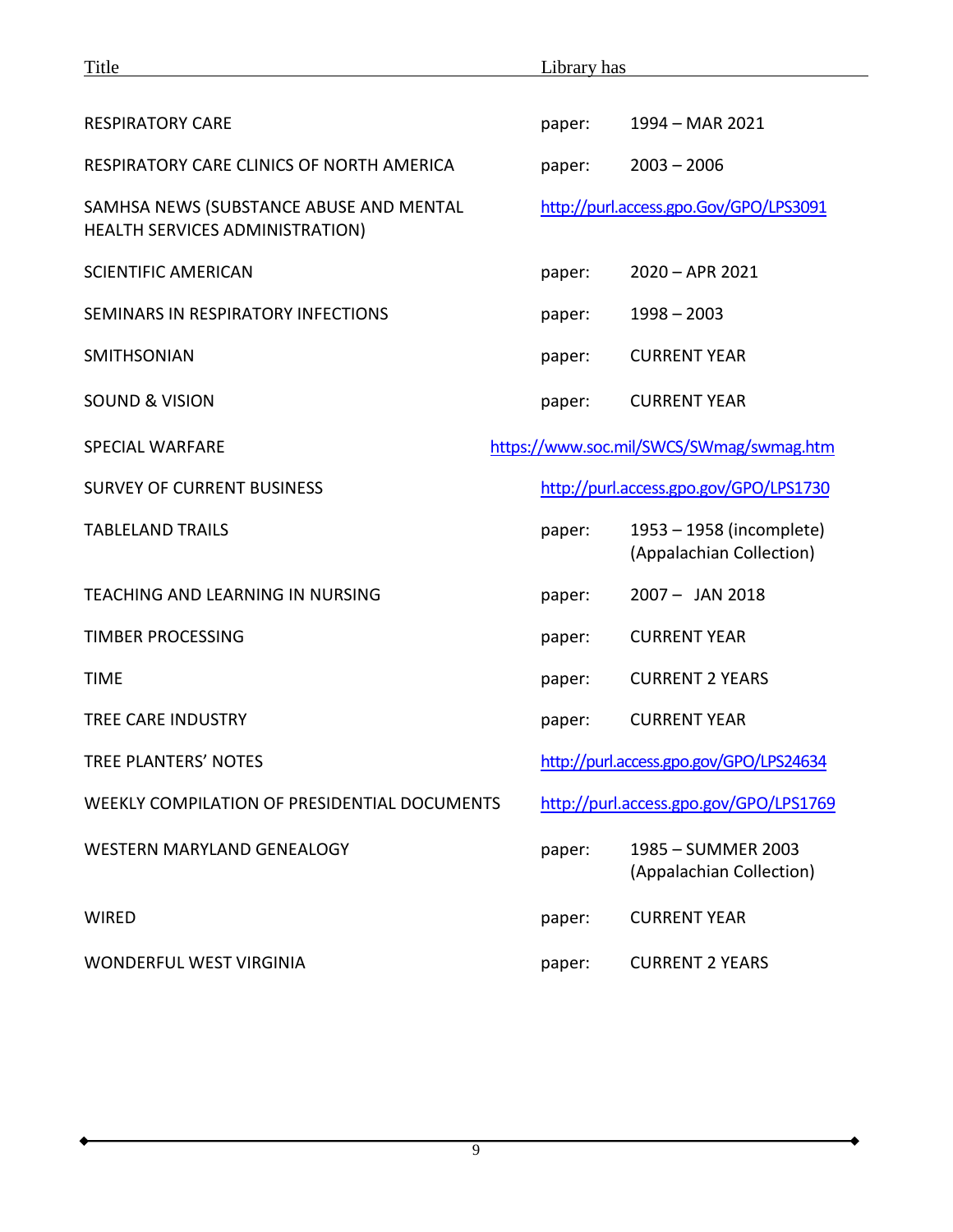| Title                                                                      | Library has                             |                                                      |
|----------------------------------------------------------------------------|-----------------------------------------|------------------------------------------------------|
|                                                                            |                                         |                                                      |
| <b>RESPIRATORY CARE</b>                                                    | paper:                                  | 1994 - MAR 2021                                      |
| RESPIRATORY CARE CLINICS OF NORTH AMERICA                                  | paper:                                  | $2003 - 2006$                                        |
| SAMHSA NEWS (SUBSTANCE ABUSE AND MENTAL<br>HEALTH SERVICES ADMINISTRATION) |                                         | http://purl.access.gpo.Gov/GPO/LPS3091               |
| <b>SCIENTIFIC AMERICAN</b>                                                 | paper:                                  | $2020 - APR$ 2021                                    |
| SEMINARS IN RESPIRATORY INFECTIONS                                         | paper:                                  | $1998 - 2003$                                        |
| <b>SMITHSONIAN</b>                                                         | paper:                                  | <b>CURRENT YEAR</b>                                  |
| <b>SOUND &amp; VISION</b>                                                  | paper:                                  | <b>CURRENT YEAR</b>                                  |
| <b>SPECIAL WARFARE</b>                                                     |                                         | https://www.soc.mil/SWCS/SWmag/swmag.htm             |
| <b>SURVEY OF CURRENT BUSINESS</b>                                          | http://purl.access.gpo.gov/GPO/LPS1730  |                                                      |
| <b>TABLELAND TRAILS</b>                                                    | paper:                                  | 1953 - 1958 (incomplete)<br>(Appalachian Collection) |
| TEACHING AND LEARNING IN NURSING                                           | paper:                                  | $2007 -$ JAN 2018                                    |
| <b>TIMBER PROCESSING</b>                                                   | paper:                                  | <b>CURRENT YEAR</b>                                  |
| <b>TIME</b>                                                                | paper:                                  | <b>CURRENT 2 YEARS</b>                               |
| <b>TREE CARE INDUSTRY</b>                                                  | paper:                                  | <b>CURRENT YEAR</b>                                  |
| TREE PLANTERS' NOTES                                                       | http://purl.access.gpo.gov/GPO/LPS24634 |                                                      |
| WEEKLY COMPILATION OF PRESIDENTIAL DOCUMENTS                               | http://purl.access.gpo.gov/GPO/LPS1769  |                                                      |
| <b>WESTERN MARYLAND GENEALOGY</b>                                          | paper:                                  | 1985 - SUMMER 2003<br>(Appalachian Collection)       |
| <b>WIRED</b>                                                               | paper:                                  | <b>CURRENT YEAR</b>                                  |
| <b>WONDERFUL WEST VIRGINIA</b>                                             | paper:                                  | <b>CURRENT 2 YEARS</b>                               |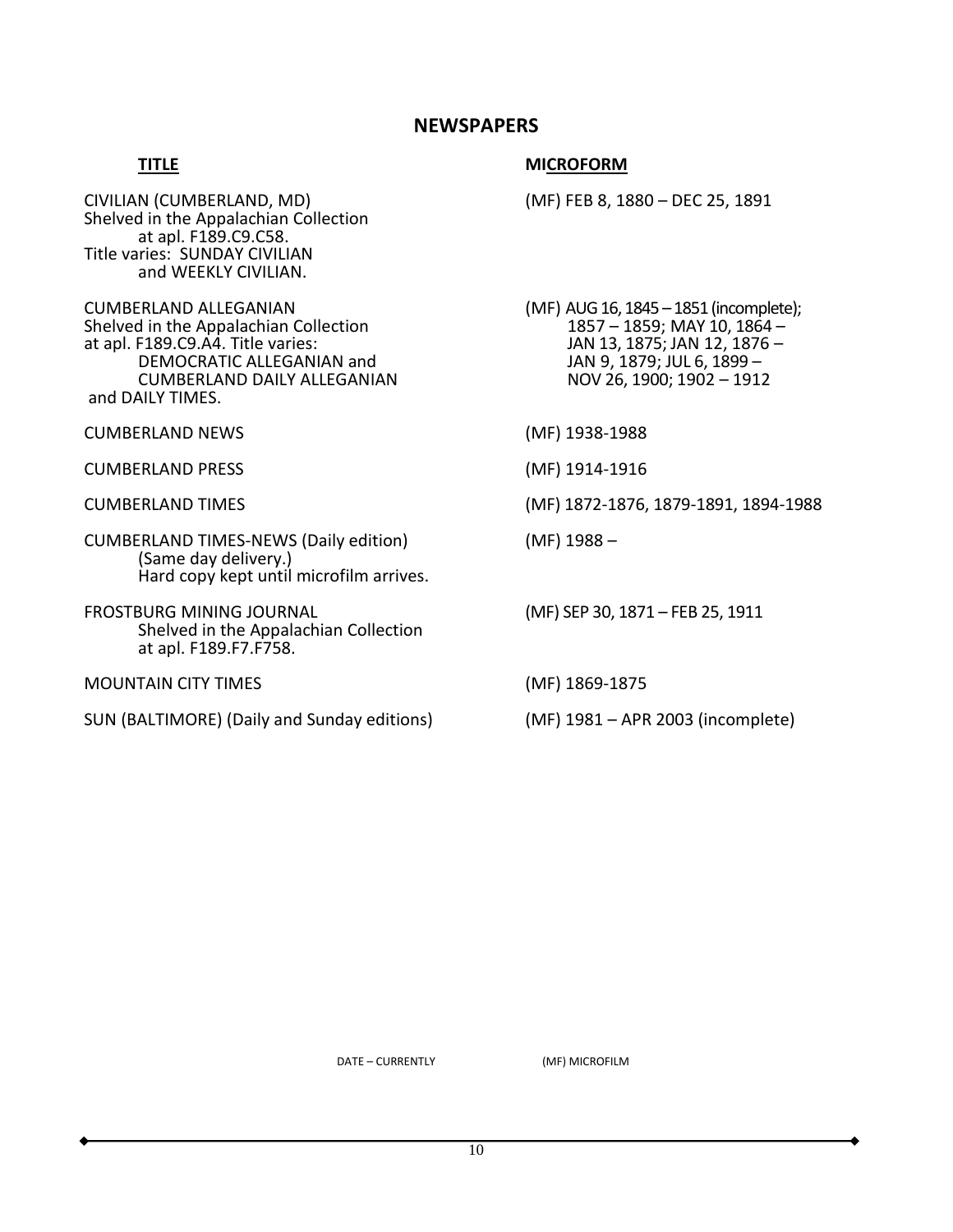# **NEWSPAPERS**

# **TITLE** MICROFORM

CIVILIAN (CUMBERLAND, MD) (MF) FEB 8, 1880 – DEC 25, 1891 Shelved in the Appalachian Collection at apl. F189.C9.C58. Title varies: SUNDAY CIVILIAN and WEEKLY CIVILIAN. CUMBERLAND ALLEGANIAN<br>
Shelved in the Appalachian Collection<br>
1857 – 1859; MAY 10, 1864 – Shelved in the Appalachian Collection<br>at apl. F189.C9.A4. Title varies: at apl. F189.C9.A4. Title varies: JAN 13, 1875; JAN 12, 1876 – JAN 9, 1879; JUL 6, 1899 –<br>NOV 26, 1900; 1902 – 1912 CUMBERLAND DAILY ALLEGANIAN and DAILY TIMES. CUMBERLAND NEWS (MF) 1938-1988 CUMBERLAND PRESS (MF) 1914-1916 CUMBERLAND TIMES (MF) 1872-1876, 1879-1891, 1894-1988 CUMBERLAND TIMES-NEWS (Daily edition) (MF) 1988 – (Same day delivery.) Hard copy kept until microfilm arrives. FROSTBURG MINING JOURNAL (MF) SEP 30, 1871 – FEB 25, 1911 Shelved in the Appalachian Collection at apl. F189.F7.F758. MOUNTAIN CITY TIMES (MF) 1869-1875 SUN (BALTIMORE) (Daily and Sunday editions) (MF) 1981 – APR 2003 (incomplete)

DATE – CURRENTLY (MF) MICROFILM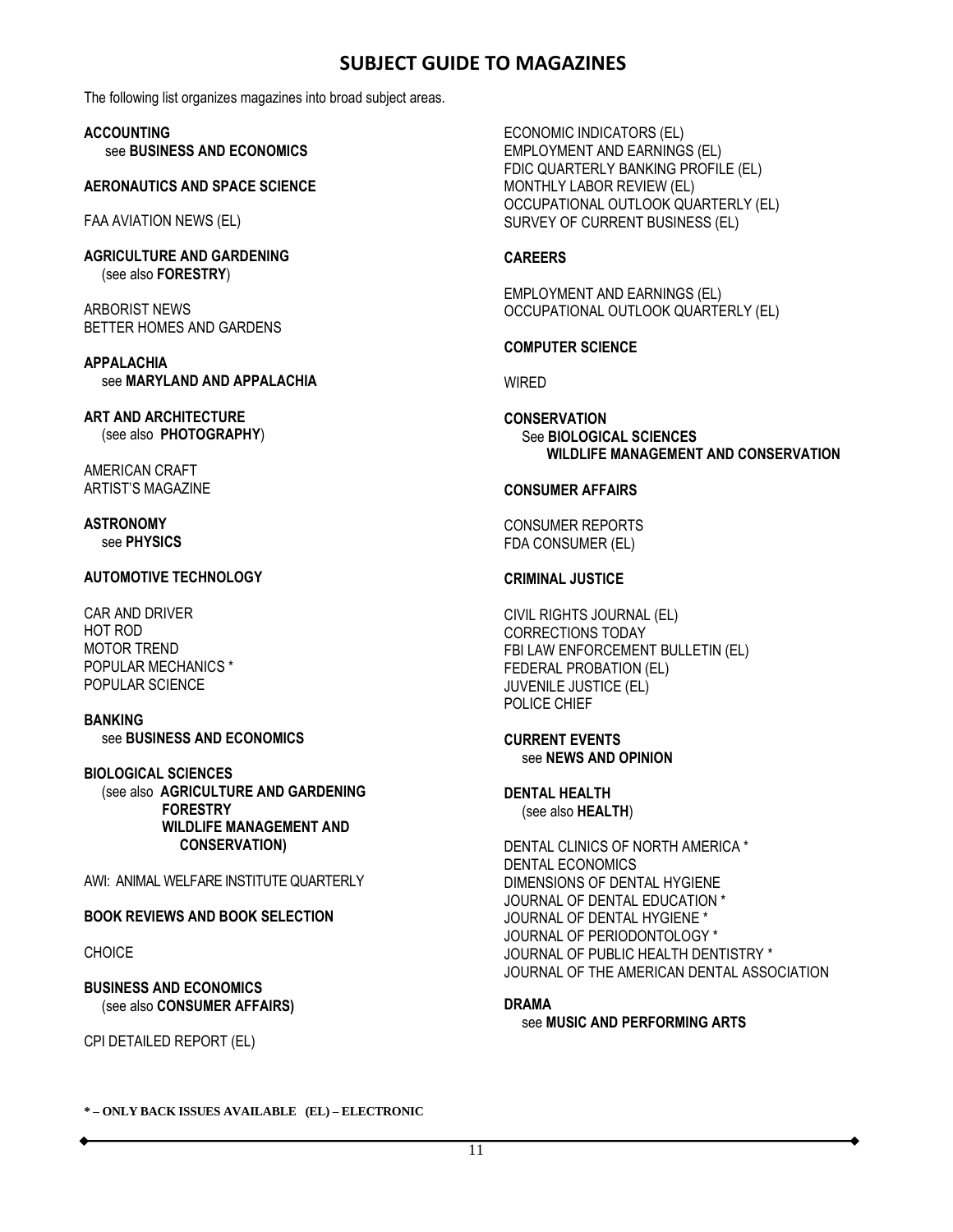# **SUBJECT GUIDE TO MAGAZINES**

The following list organizes magazines into broad subject areas.

**ACCOUNTING** see **BUSINESS AND ECONOMICS**

#### **AERONAUTICS AND SPACE SCIENCE**

FAA AVIATION NEWS (EL)

**AGRICULTURE AND GARDENING** (see also **FORESTRY**)

ARBORIST NEWS BETTER HOMES AND GARDENS

**APPALACHIA** see **MARYLAND AND APPALACHIA**

**ART AND ARCHITECTURE** (see also **PHOTOGRAPHY**)

AMERICAN CRAFT ARTIST'S MAGAZINE

## **ASTRONOMY** see **PHYSICS**

# **AUTOMOTIVE TECHNOLOGY**

CAR AND DRIVER HOT ROD MOTOR TREND POPULAR MECHANICS \* POPULAR SCIENCE

**BANKING** see **BUSINESS AND ECONOMICS**

**BIOLOGICAL SCIENCES** (see also **AGRICULTURE AND GARDENING FORESTRY WILDLIFE MANAGEMENT AND CONSERVATION)**

AWI: ANIMAL WELFARE INSTITUTE QUARTERLY

**BOOK REVIEWS AND BOOK SELECTION**

CHOICE

**BUSINESS AND ECONOMICS** (see also **CONSUMER AFFAIRS)**

CPI DETAILED REPORT (EL)

ECONOMIC INDICATORS (EL) EMPLOYMENT AND EARNINGS (EL) FDIC QUARTERLY BANKING PROFILE (EL) MONTHLY LABOR REVIEW (EL) OCCUPATIONAL OUTLOOK QUARTERLY (EL) SURVEY OF CURRENT BUSINESS (EL)

# **CAREERS**

EMPLOYMENT AND EARNINGS (EL) OCCUPATIONAL OUTLOOK QUARTERLY (EL)

# **COMPUTER SCIENCE**

WIRED

**CONSERVATION** See **BIOLOGICAL SCIENCES WILDLIFE MANAGEMENT AND CONSERVATION**

# **CONSUMER AFFAIRS**

CONSUMER REPORTS FDA CONSUMER (EL)

# **CRIMINAL JUSTICE**

CIVIL RIGHTS JOURNAL (EL) CORRECTIONS TODAY FBI LAW ENFORCEMENT BULLETIN (EL) FEDERAL PROBATION (EL) JUVENILE JUSTICE (EL) POLICE CHIEF

#### **CURRENT EVENTS** see **NEWS AND OPINION**

**DENTAL HEALTH** (see also **HEALTH**)

DENTAL CLINICS OF NORTH AMERICA \* DENTAL ECONOMICS DIMENSIONS OF DENTAL HYGIENE JOURNAL OF DENTAL EDUCATION \* JOURNAL OF DENTAL HYGIENE \* JOURNAL OF PERIODONTOLOGY \* JOURNAL OF PUBLIC HEALTH DENTISTRY \* JOURNAL OF THE AMERICAN DENTAL ASSOCIATION

# **DRAMA**

see **MUSIC AND PERFORMING ARTS**

**\* – ONLY BACK ISSUES AVAILABLE (EL) – ELECTRONIC**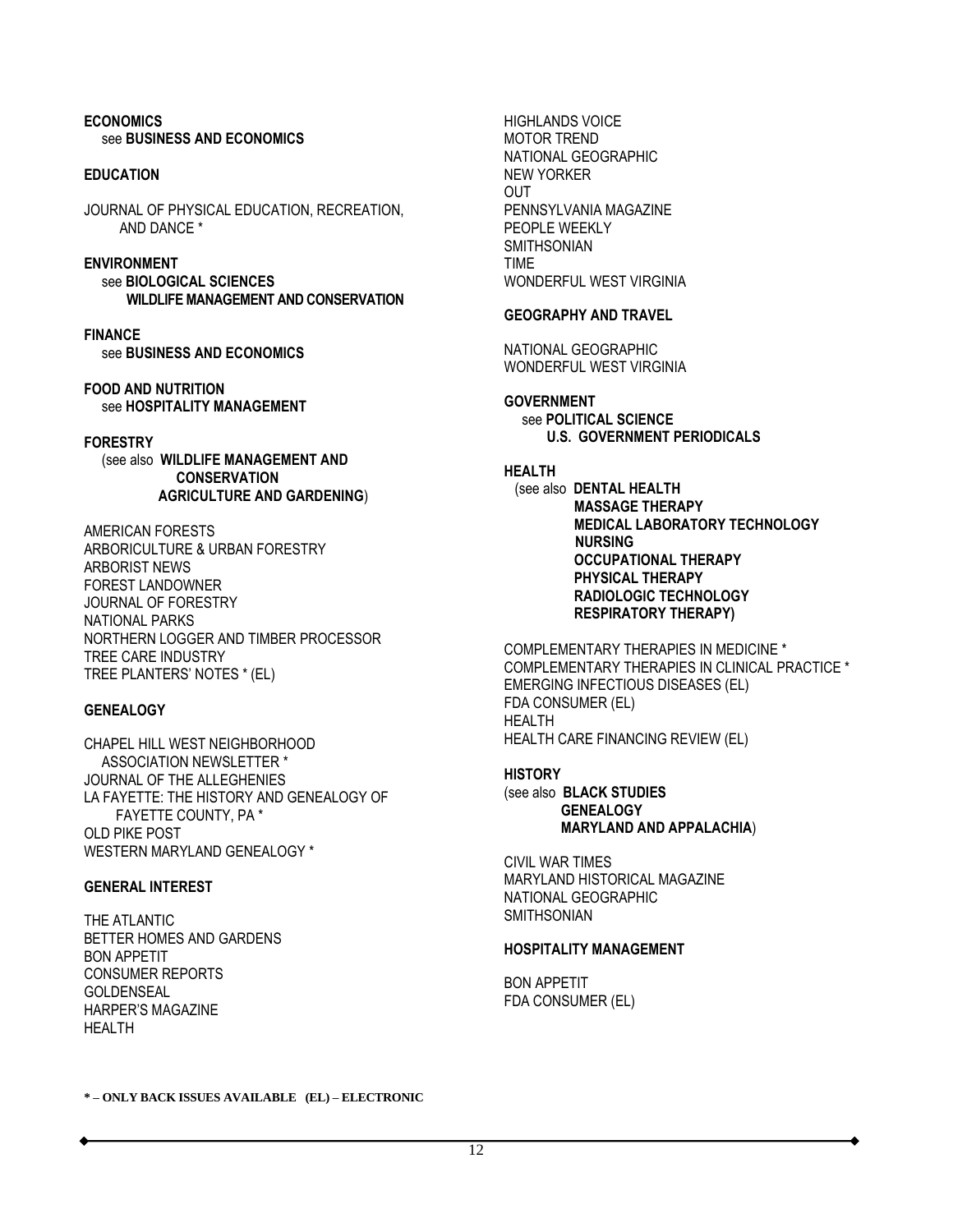#### **ECONOMICS** see **BUSINESS AND ECONOMICS**

#### **EDUCATION**

JOURNAL OF PHYSICAL EDUCATION, RECREATION, AND DANCE \*

# **ENVIRONMENT**

 see **BIOLOGICAL SCIENCES WILDLIFE MANAGEMENT AND CONSERVATION**

**FINANCE** see **BUSINESS AND ECONOMICS**

**FOOD AND NUTRITION** see **HOSPITALITY MANAGEMENT**

## **FORESTRY**

 (see also **WILDLIFE MANAGEMENT AND CONSERVATION AGRICULTURE AND GARDENING**)

AMERICAN FORESTS ARBORICULTURE & URBAN FORESTRY ARBORIST NEWS FOREST LANDOWNER JOURNAL OF FORESTRY NATIONAL PARKS NORTHERN LOGGER AND TIMBER PROCESSOR TREE CARE INDUSTRY TREE PLANTERS' NOTES \* (EL)

#### **GENEALOGY**

CHAPEL HILL WEST NEIGHBORHOOD ASSOCIATION NEWSLETTER \* JOURNAL OF THE ALLEGHENIES LA FAYETTE: THE HISTORY AND GENEALOGY OF FAYETTE COUNTY, PA \* OLD PIKE POST WESTERN MARYLAND GENEALOGY \*

#### **GENERAL INTEREST**

THE ATLANTIC BETTER HOMES AND GARDENS BON APPETIT CONSUMER REPORTS GOLDENSEAL HARPER'S MAGAZINE HEALTH

HIGHLANDS VOICE MOTOR TREND NATIONAL GEOGRAPHIC NEW YORKER OUT PENNSYLVANIA MAGAZINE PEOPLE WEEKLY SMITHSONIAN TIME WONDERFUL WEST VIRGINIA

#### **GEOGRAPHY AND TRAVEL**

NATIONAL GEOGRAPHIC WONDERFUL WEST VIRGINIA

## **GOVERNMENT**

 see **POLITICAL SCIENCE U.S. GOVERNMENT PERIODICALS**

# **HEALTH**

 (see also **DENTAL HEALTH MASSAGE THERAPY MEDICAL LABORATORY TECHNOLOGY NURSING OCCUPATIONAL THERAPY PHYSICAL THERAPY RADIOLOGIC TECHNOLOGY RESPIRATORY THERAPY)**

COMPLEMENTARY THERAPIES IN MEDICINE \* COMPLEMENTARY THERAPIES IN CLINICAL PRACTICE \* EMERGING INFECTIOUS DISEASES (EL) FDA CONSUMER (EL) HEALTH HEALTH CARE FINANCING REVIEW (EL)

#### **HISTORY** (see also **BLACK STUDIES GENEALOGY MARYLAND AND APPALACHIA**)

CIVIL WAR TIMES MARYLAND HISTORICAL MAGAZINE NATIONAL GEOGRAPHIC **SMITHSONIAN** 

# **HOSPITALITY MANAGEMENT**

BON APPETIT FDA CONSUMER (EL)

**\* – ONLY BACK ISSUES AVAILABLE (EL) – ELECTRONIC**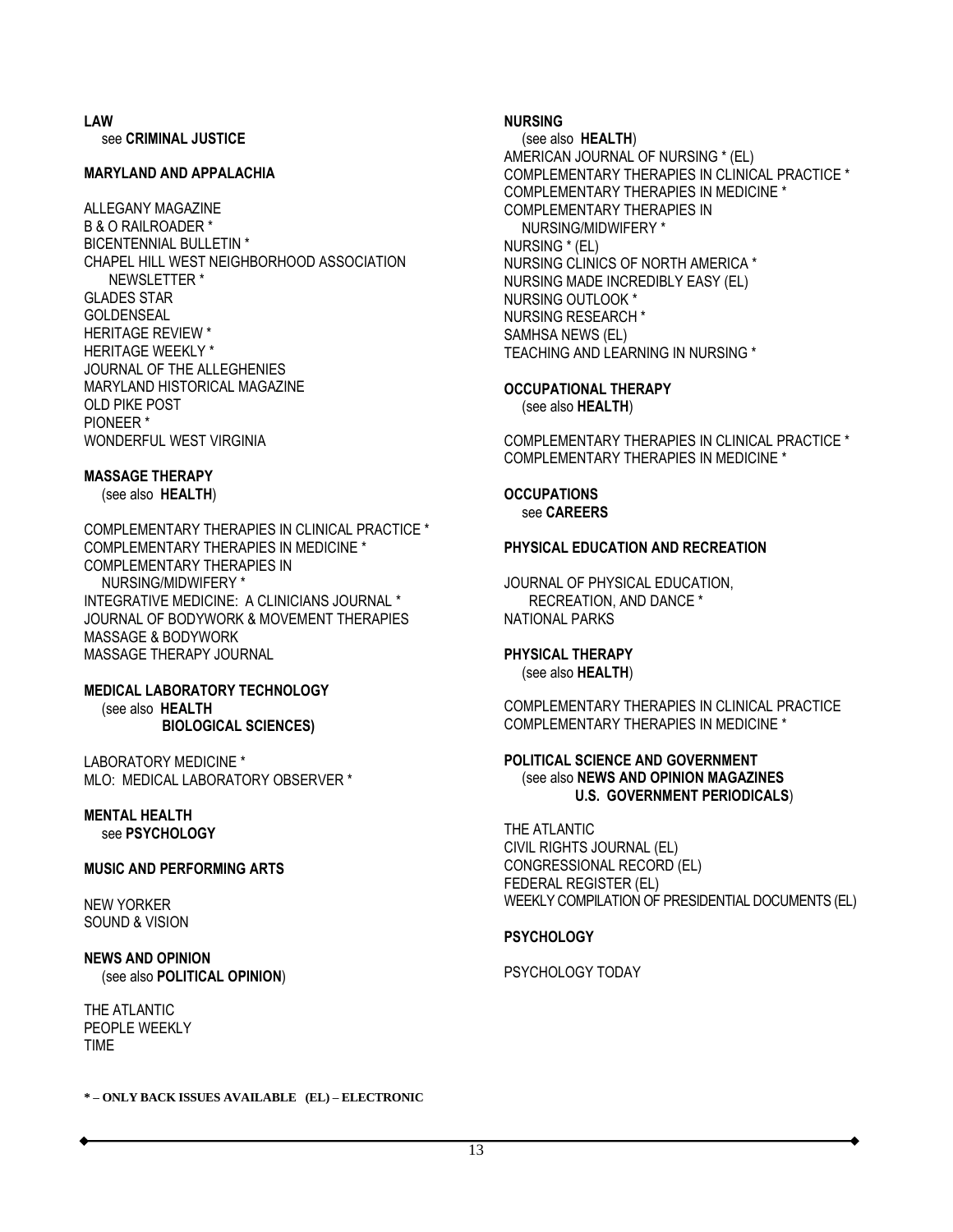**LAW** see **CRIMINAL JUSTICE**

#### **MARYLAND AND APPALACHIA**

ALLEGANY MAGAZINE B & O RAILROADER \* BICENTENNIAL BULLETIN \* CHAPEL HILL WEST NEIGHBORHOOD ASSOCIATION NEWSLETTER \* GLADES STAR GOLDENSEAL HERITAGE REVIEW \* HERITAGE WEEKLY \* JOURNAL OF THE ALLEGHENIES MARYLAND HISTORICAL MAGAZINE OLD PIKE POST PIONEER \* WONDERFUL WEST VIRGINIA

#### **MASSAGE THERAPY**

(see also **HEALTH**)

COMPLEMENTARY THERAPIES IN CLINICAL PRACTICE \* COMPLEMENTARY THERAPIES IN MEDICINE \* COMPLEMENTARY THERAPIES IN NURSING/MIDWIFERY \* INTEGRATIVE MEDICINE: A CLINICIANS JOURNAL \* JOURNAL OF BODYWORK & MOVEMENT THERAPIES MASSAGE & BODYWORK MASSAGE THERAPY JOURNAL

**MEDICAL LABORATORY TECHNOLOGY** (see also **HEALTH BIOLOGICAL SCIENCES)**

LABORATORY MEDICINE \* MLO: MEDICAL LABORATORY OBSERVER \*

#### **MENTAL HEALTH** see **PSYCHOLOGY**

#### **MUSIC AND PERFORMING ARTS**

NEW YORKER SOUND & VISION

**NEWS AND OPINION** (see also **POLITICAL OPINION**)

THE ATLANTIC PEOPLE WEEKLY TIME

#### **NURSING**

 (see also **HEALTH**) AMERICAN JOURNAL OF NURSING \* (EL) COMPLEMENTARY THERAPIES IN CLINICAL PRACTICE \* COMPLEMENTARY THERAPIES IN MEDICINE \* COMPLEMENTARY THERAPIES IN NURSING/MIDWIFERY \* NURSING \* (EL) NURSING CLINICS OF NORTH AMERICA \* NURSING MADE INCREDIBLY EASY (EL) NURSING OUTLOOK \* NURSING RESEARCH \* SAMHSA NEWS (EL) TEACHING AND LEARNING IN NURSING \*

**OCCUPATIONAL THERAPY** (see also **HEALTH**)

COMPLEMENTARY THERAPIES IN CLINICAL PRACTICE \* COMPLEMENTARY THERAPIES IN MEDICINE \*

**OCCUPATIONS** see **CAREERS**

#### **PHYSICAL EDUCATION AND RECREATION**

JOURNAL OF PHYSICAL EDUCATION, RECREATION, AND DANCE \* NATIONAL PARKS

#### **PHYSICAL THERAPY** (see also **HEALTH**)

COMPLEMENTARY THERAPIES IN CLINICAL PRACTICE COMPLEMENTARY THERAPIES IN MEDICINE \*

#### **POLITICAL SCIENCE AND GOVERNMENT** (see also **NEWS AND OPINION MAGAZINES U.S. GOVERNMENT PERIODICALS**)

THE ATLANTIC CIVIL RIGHTS JOURNAL (EL) CONGRESSIONAL RECORD (EL) FEDERAL REGISTER (EL) WEEKLY COMPILATION OF PRESIDENTIAL DOCUMENTS (EL)

#### **PSYCHOLOGY**

PSYCHOLOGY TODAY

**\* – ONLY BACK ISSUES AVAILABLE (EL) – ELECTRONIC**